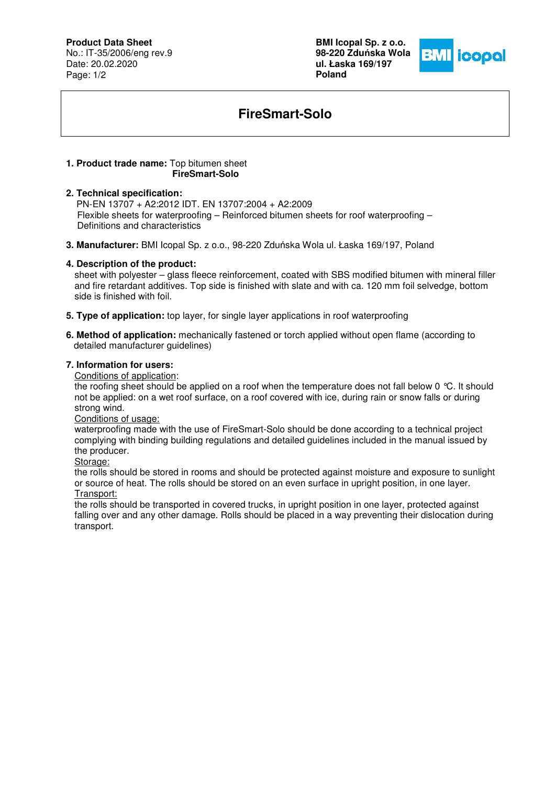# **Product Data Sheet**

No.: IT-35/2006/eng rev.9 Date: 20.02.2020 Page: 1/2

**BMI Icopal Sp. z o.o. 98-220 Zdu**ń**ska Wola ul. Łaska 169/197 Poland** 



# **FireSmart-Solo**

#### **1. Product trade name:** Top bitumen sheet **FireSmart-Solo**

### **2. Technical specification:**

 PN-EN 13707 + A2:2012 IDT. EN 13707:2004 + A2:2009 Flexible sheets for waterproofing – Reinforced bitumen sheets for roof waterproofing – Definitions and characteristics

**3. Manufacturer:** BMI Icopal Sp. z o.o., 98-220 Zduńska Wola ul. Łaska 169/197, Poland

### **4. Description of the product:**

sheet with polyester – glass fleece reinforcement, coated with SBS modified bitumen with mineral filler and fire retardant additives. Top side is finished with slate and with ca. 120 mm foil selvedge, bottom side is finished with foil.

- **5. Type of application:** top layer, for single layer applications in roof waterproofing
- **6. Method of application:** mechanically fastened or torch applied without open flame (according to detailed manufacturer guidelines)

### **7. Information for users:**

Conditions of application:

the roofing sheet should be applied on a roof when the temperature does not fall below 0 °C. It should not be applied: on a wet roof surface, on a roof covered with ice, during rain or snow falls or during strong wind.

Conditions of usage:

waterproofing made with the use of FireSmart-Solo should be done according to a technical project complying with binding building regulations and detailed guidelines included in the manual issued by the producer.

Storage:

the rolls should be stored in rooms and should be protected against moisture and exposure to sunlight or source of heat. The rolls should be stored on an even surface in upright position, in one layer. Transport:

the rolls should be transported in covered trucks, in upright position in one layer, protected against falling over and any other damage. Rolls should be placed in a way preventing their dislocation during transport.